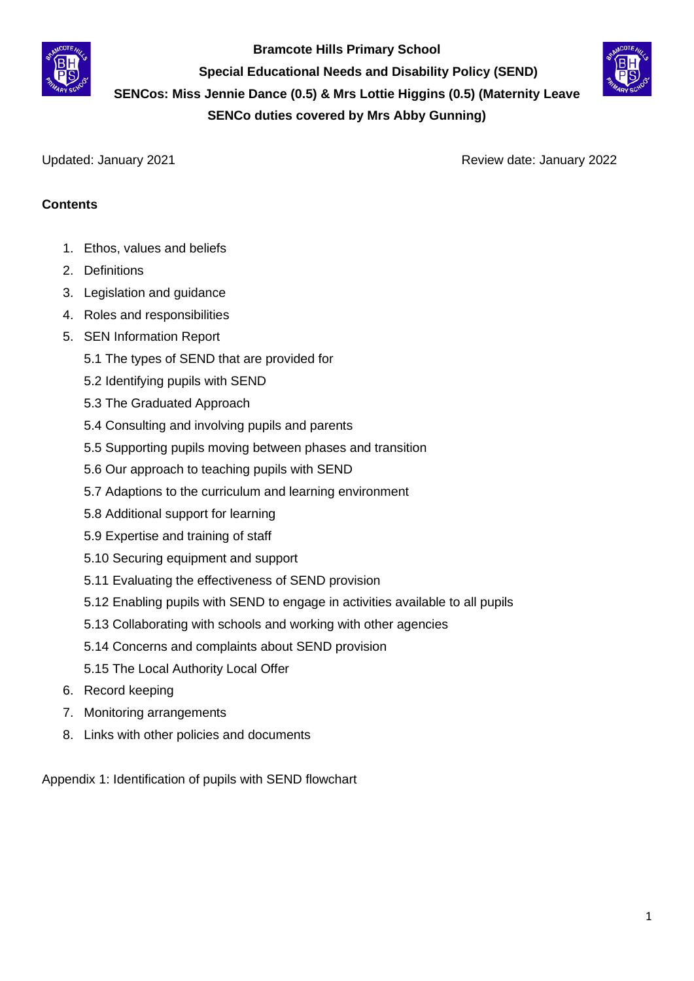

**Bramcote Hills Primary School**

 **Special Educational Needs and Disability Policy (SEND)** 

**SENCos: Miss Jennie Dance (0.5) & Mrs Lottie Higgins (0.5) (Maternity Leave** 

**SENCo duties covered by Mrs Abby Gunning)**

Updated: January 2021 Review date: January 2022

# **Contents**

- 1. Ethos, values and beliefs
- 2. Definitions
- 3. Legislation and guidance
- 4. Roles and responsibilities
- 5. SEN Information Report
	- 5.1 The types of SEND that are provided for
	- 5.2 Identifying pupils with SEND
	- 5.3 The Graduated Approach
	- 5.4 Consulting and involving pupils and parents
	- 5.5 Supporting pupils moving between phases and transition
	- 5.6 Our approach to teaching pupils with SEND
	- 5.7 Adaptions to the curriculum and learning environment
	- 5.8 Additional support for learning
	- 5.9 Expertise and training of staff
	- 5.10 Securing equipment and support
	- 5.11 Evaluating the effectiveness of SEND provision
	- 5.12 Enabling pupils with SEND to engage in activities available to all pupils
	- 5.13 Collaborating with schools and working with other agencies
	- 5.14 Concerns and complaints about SEND provision
	- 5.15 The Local Authority Local Offer
- 6. Record keeping
- 7. Monitoring arrangements
- 8. Links with other policies and documents

Appendix 1: Identification of pupils with SEND flowchart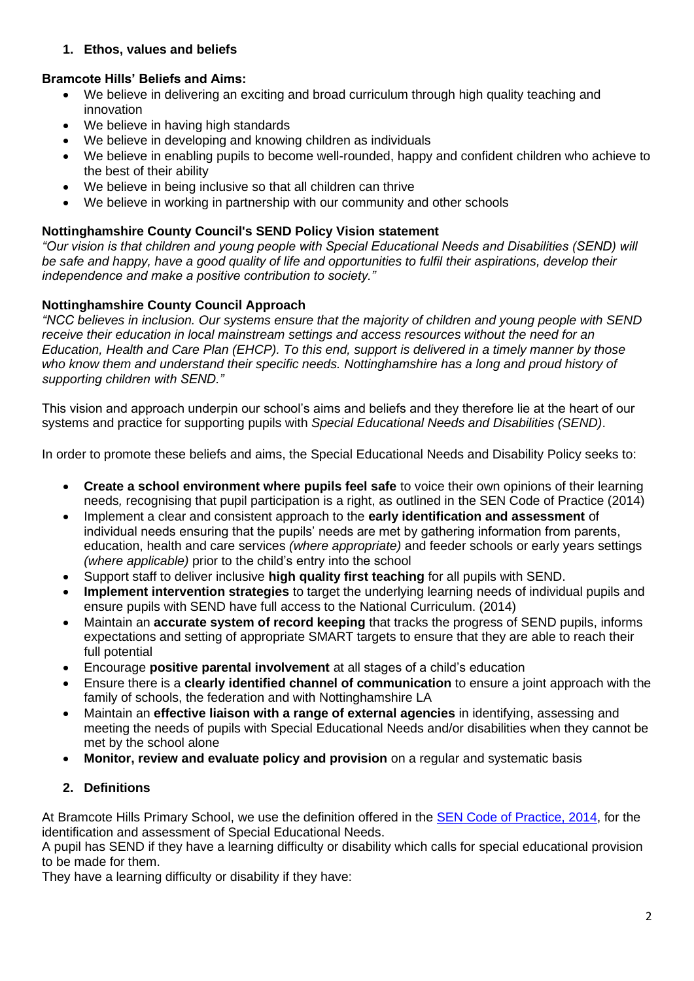## **1. Ethos, values and beliefs**

# **Bramcote Hills' Beliefs and Aims:**

- We believe in delivering an exciting and broad curriculum through high quality teaching and innovation
- We believe in having high standards
- We believe in developing and knowing children as individuals
- We believe in enabling pupils to become well-rounded, happy and confident children who achieve to the best of their ability
- We believe in being inclusive so that all children can thrive
- We believe in working in partnership with our community and other schools

# **Nottinghamshire County Council's SEND Policy Vision statement**

*"Our vision is that children and young people with Special Educational Needs and Disabilities (SEND) will be safe and happy, have a good quality of life and opportunities to fulfil their aspirations, develop their independence and make a positive contribution to society."*

# **Nottinghamshire County Council Approach**

*"NCC believes in inclusion. Our systems ensure that the majority of children and young people with SEND receive their education in local mainstream settings and access resources without the need for an Education, Health and Care Plan (EHCP). To this end, support is delivered in a timely manner by those who know them and understand their specific needs. Nottinghamshire has a long and proud history of supporting children with SEND."*

This vision and approach underpin our school's aims and beliefs and they therefore lie at the heart of our systems and practice for supporting pupils with *Special Educational Needs and Disabilities (SEND)*.

In order to promote these beliefs and aims, the Special Educational Needs and Disability Policy seeks to:

- **Create a school environment where pupils feel safe** to voice their own opinions of their learning needs*,* recognising that pupil participation is a right, as outlined in the SEN Code of Practice (2014)
- Implement a clear and consistent approach to the **early identification and assessment** of individual needs ensuring that the pupils' needs are met by gathering information from parents, education, health and care services *(where appropriate)* and feeder schools or early years settings *(where applicable)* prior to the child's entry into the school
- Support staff to deliver inclusive **high quality first teaching** for all pupils with SEND.
- **Implement intervention strategies** to target the underlying learning needs of individual pupils and ensure pupils with SEND have full access to the National Curriculum. (2014)
- Maintain an **accurate system of record keeping** that tracks the progress of SEND pupils, informs expectations and setting of appropriate SMART targets to ensure that they are able to reach their full potential
- Encourage **positive parental involvement** at all stages of a child's education
- Ensure there is a **clearly identified channel of communication** to ensure a joint approach with the family of schools, the federation and with Nottinghamshire LA
- Maintain an **effective liaison with a range of external agencies** in identifying, assessing and meeting the needs of pupils with Special Educational Needs and/or disabilities when they cannot be met by the school alone
- **Monitor, review and evaluate policy and provision** on a regular and systematic basis

# **2. Definitions**

At Bramcote Hills Primary School, we use the definition offered in the [SEN Code of Practice, 2014,](https://assets.publishing.service.gov.uk/government/uploads/system/uploads/attachment_data/file/398815/SEND_Code_of_Practice_January_2015.pdf) for the identification and assessment of Special Educational Needs.

A pupil has SEND if they have a learning difficulty or disability which calls for special educational provision to be made for them.

They have a learning difficulty or disability if they have: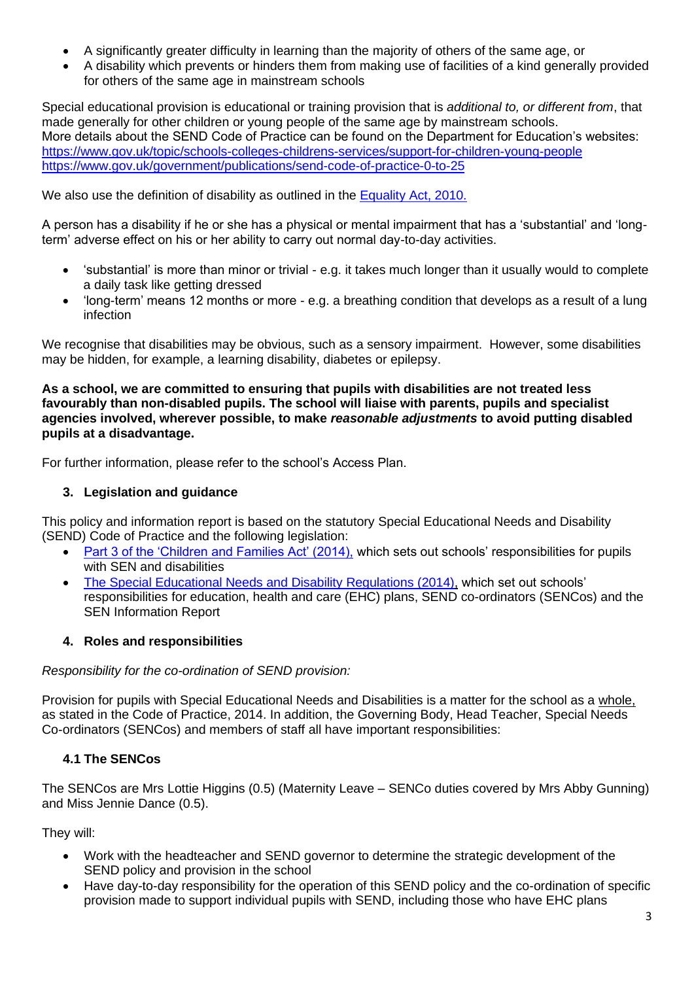- A significantly greater difficulty in learning than the majority of others of the same age, or
- A disability which prevents or hinders them from making use of facilities of a kind generally provided for others of the same age in mainstream schools

Special educational provision is educational or training provision that is *additional to, or different from*, that made generally for other children or young people of the same age by mainstream schools. More details about the SEND Code of Practice can be found on the Department for Education's websites: <https://www.gov.uk/topic/schools-colleges-childrens-services/support-for-children-young-people> <https://www.gov.uk/government/publications/send-code-of-practice-0-to-25>

We also use the definition of disability as outlined in the [Equality Act, 2010.](https://www.legislation.gov.uk/ukpga/2010/15/contents)

A person has a disability if he or she has a physical or mental impairment that has a 'substantial' and 'longterm' adverse effect on his or her ability to carry out normal day-to-day activities.

- 'substantial' is more than minor or trivial e.g. it takes much longer than it usually would to complete a daily task like getting dressed
- 'long-term' means 12 months or more e.g. a breathing condition that develops as a result of a lung infection

We recognise that disabilities may be obvious, such as a sensory impairment. However, some disabilities may be hidden, for example, a learning disability, diabetes or epilepsy.

**As a school, we are committed to ensuring that pupils with disabilities are not treated less favourably than non-disabled pupils. The school will liaise with parents, pupils and specialist agencies involved, wherever possible, to make** *reasonable adjustments* **to avoid putting disabled pupils at a disadvantage.**

For further information, please refer to the school's Access Plan.

## **3. Legislation and guidance**

This policy and information report is based on the statutory Special Educational Needs and Disability (SEND) Code of Practice and the following legislation:

- [Part 3 of the 'Children and Families Act' \(2014\),](https://www.legislation.gov.uk/ukpga/2014/6/part/3/enacted) which sets out schools' responsibilities for pupils with SEN and disabilities
- [The Special Educational Needs and Disability Regulations \(2014\),](https://www.legislation.gov.uk/uksi/2014/1530/contents/made) which set out schools' responsibilities for education, health and care (EHC) plans, SEND co-ordinators (SENCos) and the SEN Information Report

## **4. Roles and responsibilities**

#### *Responsibility for the co-ordination of SEND provision:*

Provision for pupils with Special Educational Needs and Disabilities is a matter for the school as a whole, as stated in the Code of Practice, 2014. In addition, the Governing Body, Head Teacher, Special Needs Co-ordinators (SENCos) and members of staff all have important responsibilities:

## **4.1 The SENCos**

The SENCos are Mrs Lottie Higgins (0.5) (Maternity Leave – SENCo duties covered by Mrs Abby Gunning) and Miss Jennie Dance (0.5).

They will:

- Work with the headteacher and SEND governor to determine the strategic development of the SEND policy and provision in the school
- Have day-to-day responsibility for the operation of this SEND policy and the co-ordination of specific provision made to support individual pupils with SEND, including those who have EHC plans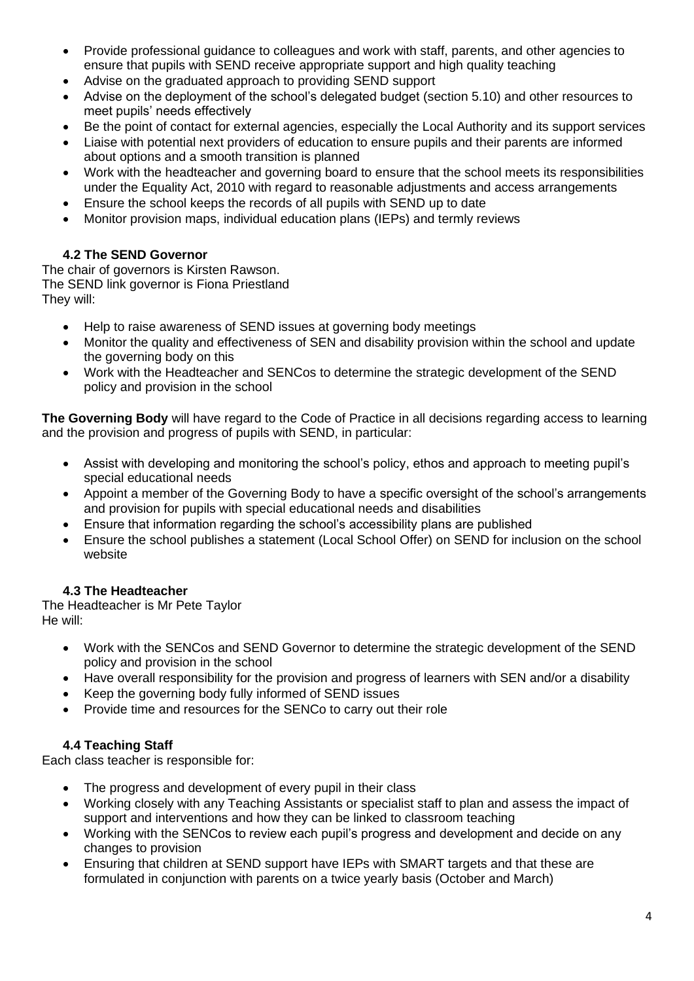- Provide professional guidance to colleagues and work with staff, parents, and other agencies to ensure that pupils with SEND receive appropriate support and high quality teaching
- Advise on the graduated approach to providing SEND support
- Advise on the deployment of the school's delegated budget (section 5.10) and other resources to meet pupils' needs effectively
- Be the point of contact for external agencies, especially the Local Authority and its support services
- Liaise with potential next providers of education to ensure pupils and their parents are informed about options and a smooth transition is planned
- Work with the headteacher and governing board to ensure that the school meets its responsibilities under the Equality Act, 2010 with regard to reasonable adjustments and access arrangements
- Ensure the school keeps the records of all pupils with SEND up to date
- Monitor provision maps, individual education plans (IEPs) and termly reviews

# **4.2 The SEND Governor**

The chair of governors is Kirsten Rawson. The SEND link governor is Fiona Priestland They will:

- Help to raise awareness of SEND issues at governing body meetings
- Monitor the quality and effectiveness of SEN and disability provision within the school and update the governing body on this
- Work with the Headteacher and SENCos to determine the strategic development of the SEND policy and provision in the school

**The Governing Body** will have regard to the Code of Practice in all decisions regarding access to learning and the provision and progress of pupils with SEND, in particular:

- Assist with developing and monitoring the school's policy, ethos and approach to meeting pupil's special educational needs
- Appoint a member of the Governing Body to have a specific oversight of the school's arrangements and provision for pupils with special educational needs and disabilities
- Ensure that information regarding the school's accessibility plans are published
- Ensure the school publishes a statement (Local School Offer) on SEND for inclusion on the school website

# **4.3 The Headteacher**

The Headteacher is Mr Pete Taylor He will:

- Work with the SENCos and SEND Governor to determine the strategic development of the SEND policy and provision in the school
- Have overall responsibility for the provision and progress of learners with SEN and/or a disability
- Keep the governing body fully informed of SEND issues
- Provide time and resources for the SENCo to carry out their role

## **4.4 Teaching Staff**

Each class teacher is responsible for:

- The progress and development of every pupil in their class
- Working closely with any Teaching Assistants or specialist staff to plan and assess the impact of support and interventions and how they can be linked to classroom teaching
- Working with the SENCos to review each pupil's progress and development and decide on any changes to provision
- Ensuring that children at SEND support have IEPs with SMART targets and that these are formulated in conjunction with parents on a twice yearly basis (October and March)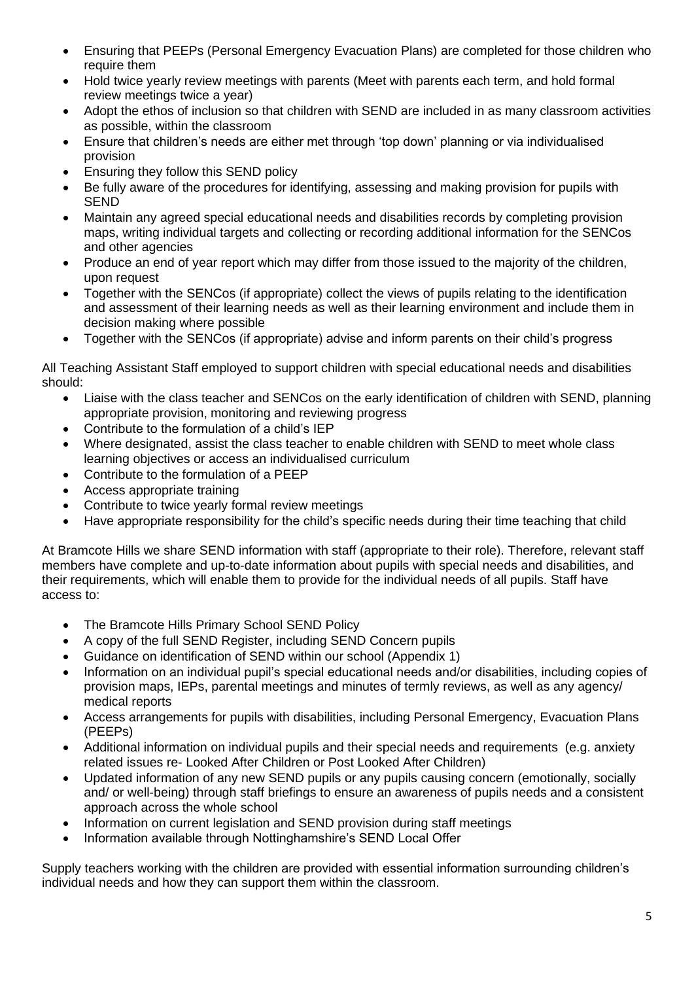- Ensuring that PEEPs (Personal Emergency Evacuation Plans) are completed for those children who require them
- Hold twice yearly review meetings with parents (Meet with parents each term, and hold formal review meetings twice a year)
- Adopt the ethos of inclusion so that children with SEND are included in as many classroom activities as possible, within the classroom
- Ensure that children's needs are either met through 'top down' planning or via individualised provision
- Ensuring they follow this SEND policy
- Be fully aware of the procedures for identifying, assessing and making provision for pupils with **SEND**
- Maintain any agreed special educational needs and disabilities records by completing provision maps, writing individual targets and collecting or recording additional information for the SENCos and other agencies
- Produce an end of year report which may differ from those issued to the majority of the children, upon request
- Together with the SENCos (if appropriate) collect the views of pupils relating to the identification and assessment of their learning needs as well as their learning environment and include them in decision making where possible
- Together with the SENCos (if appropriate) advise and inform parents on their child's progress

All Teaching Assistant Staff employed to support children with special educational needs and disabilities should:

- Liaise with the class teacher and SENCos on the early identification of children with SEND, planning appropriate provision, monitoring and reviewing progress
- Contribute to the formulation of a child's IEP
- Where designated, assist the class teacher to enable children with SEND to meet whole class learning objectives or access an individualised curriculum
- Contribute to the formulation of a PEEP
- Access appropriate training
- Contribute to twice yearly formal review meetings
- Have appropriate responsibility for the child's specific needs during their time teaching that child

At Bramcote Hills we share SEND information with staff (appropriate to their role). Therefore, relevant staff members have complete and up-to-date information about pupils with special needs and disabilities, and their requirements, which will enable them to provide for the individual needs of all pupils. Staff have access to:

- The Bramcote Hills Primary School SEND Policy
- A copy of the full SEND Register, including SEND Concern pupils
- Guidance on identification of SEND within our school (Appendix 1)
- Information on an individual pupil's special educational needs and/or disabilities, including copies of provision maps, IEPs, parental meetings and minutes of termly reviews, as well as any agency/ medical reports
- Access arrangements for pupils with disabilities, including Personal Emergency, Evacuation Plans (PEEPs)
- Additional information on individual pupils and their special needs and requirements (e.g. anxiety related issues re- Looked After Children or Post Looked After Children)
- Updated information of any new SEND pupils or any pupils causing concern (emotionally, socially and/ or well-being) through staff briefings to ensure an awareness of pupils needs and a consistent approach across the whole school
- Information on current legislation and SEND provision during staff meetings
- Information available through Nottinghamshire's SEND Local Offer

Supply teachers working with the children are provided with essential information surrounding children's individual needs and how they can support them within the classroom.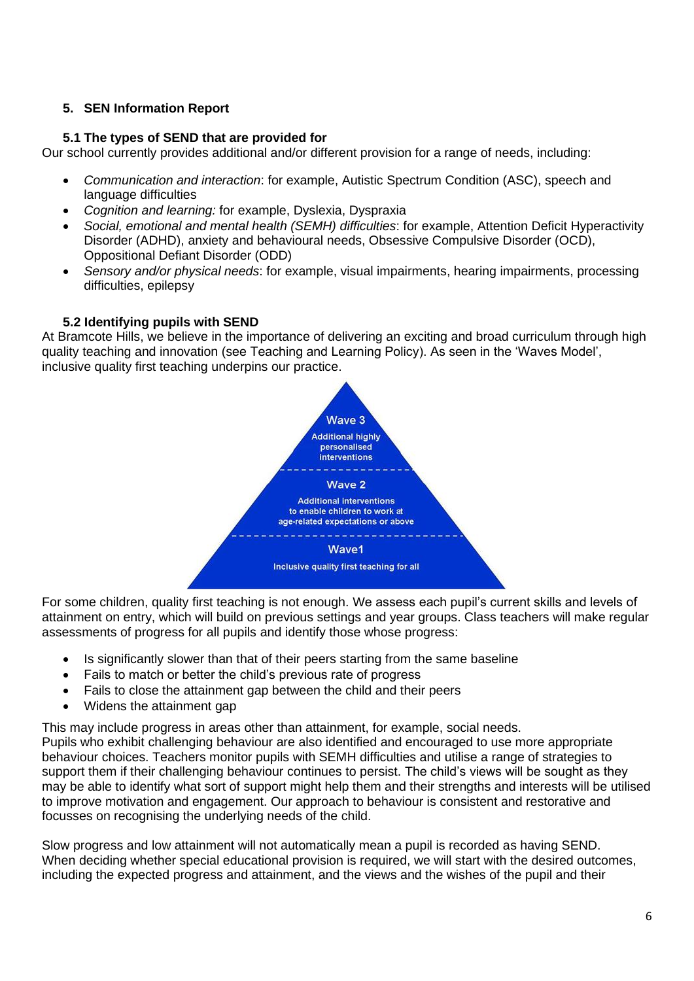## **5. SEN Information Report**

#### **5.1 The types of SEND that are provided for**

Our school currently provides additional and/or different provision for a range of needs, including:

- *Communication and interaction*: for example, Autistic Spectrum Condition (ASC), speech and language difficulties
- *Cognition and learning:* for example, Dyslexia, Dyspraxia
- *Social, emotional and mental health (SEMH) difficulties*: for example, Attention Deficit Hyperactivity Disorder (ADHD), anxiety and behavioural needs, Obsessive Compulsive Disorder (OCD), Oppositional Defiant Disorder (ODD)
- *Sensory and/or physical needs*: for example, visual impairments, hearing impairments, processing difficulties, epilepsy

#### **5.2 Identifying pupils with SEND**

At Bramcote Hills, we believe in the importance of delivering an exciting and broad curriculum through high quality teaching and innovation (see Teaching and Learning Policy). As seen in the 'Waves Model', inclusive quality first teaching underpins our practice.



For some children, quality first teaching is not enough. We assess each pupil's current skills and levels of attainment on entry, which will build on previous settings and year groups. Class teachers will make regular assessments of progress for all pupils and identify those whose progress:

- Is significantly slower than that of their peers starting from the same baseline
- Fails to match or better the child's previous rate of progress
- Fails to close the attainment gap between the child and their peers
- Widens the attainment gap

This may include progress in areas other than attainment, for example, social needs.

Pupils who exhibit challenging behaviour are also identified and encouraged to use more appropriate behaviour choices. Teachers monitor pupils with SEMH difficulties and utilise a range of strategies to support them if their challenging behaviour continues to persist. The child's views will be sought as they may be able to identify what sort of support might help them and their strengths and interests will be utilised to improve motivation and engagement. Our approach to behaviour is consistent and restorative and focusses on recognising the underlying needs of the child.

Slow progress and low attainment will not automatically mean a pupil is recorded as having SEND. When deciding whether special educational provision is required, we will start with the desired outcomes, including the expected progress and attainment, and the views and the wishes of the pupil and their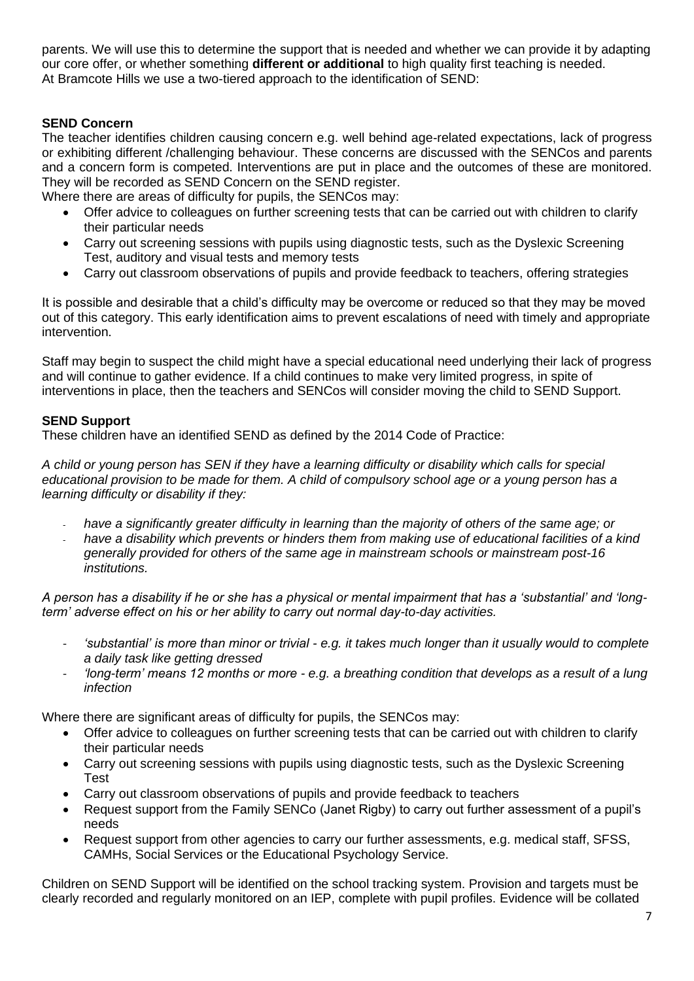parents. We will use this to determine the support that is needed and whether we can provide it by adapting our core offer, or whether something **different or additional** to high quality first teaching is needed. At Bramcote Hills we use a two-tiered approach to the identification of SEND:

## **SEND Concern**

The teacher identifies children causing concern e.g. well behind age-related expectations, lack of progress or exhibiting different /challenging behaviour. These concerns are discussed with the SENCos and parents and a concern form is competed. Interventions are put in place and the outcomes of these are monitored. They will be recorded as SEND Concern on the SEND register.

Where there are areas of difficulty for pupils, the SENCos may:

- Offer advice to colleagues on further screening tests that can be carried out with children to clarify their particular needs
- Carry out screening sessions with pupils using diagnostic tests, such as the Dyslexic Screening Test, auditory and visual tests and memory tests
- Carry out classroom observations of pupils and provide feedback to teachers, offering strategies

It is possible and desirable that a child's difficulty may be overcome or reduced so that they may be moved out of this category. This early identification aims to prevent escalations of need with timely and appropriate intervention.

Staff may begin to suspect the child might have a special educational need underlying their lack of progress and will continue to gather evidence. If a child continues to make very limited progress, in spite of interventions in place, then the teachers and SENCos will consider moving the child to SEND Support.

#### **SEND Support**

These children have an identified SEND as defined by the 2014 Code of Practice:

*A child or young person has SEN if they have a learning difficulty or disability which calls for special educational provision to be made for them. A child of compulsory school age or a young person has a learning difficulty or disability if they:* 

- have a significantly greater difficulty in learning than the majority of others of the same age; or
- have a disability which prevents or hinders them from making use of educational facilities of a kind *generally provided for others of the same age in mainstream schools or mainstream post-16 institutions.*

*A person has a disability if he or she has a physical or mental impairment that has a 'substantial' and 'longterm' adverse effect on his or her ability to carry out normal day-to-day activities.*

- *'substantial' is more than minor or trivial - e.g. it takes much longer than it usually would to complete a daily task like getting dressed*
- *'long-term' means 12 months or more - e.g. a breathing condition that develops as a result of a lung infection*

Where there are significant areas of difficulty for pupils, the SENCos may:

- Offer advice to colleagues on further screening tests that can be carried out with children to clarify their particular needs
- Carry out screening sessions with pupils using diagnostic tests, such as the Dyslexic Screening Test
- Carry out classroom observations of pupils and provide feedback to teachers
- Request support from the Family SENCo (Janet Rigby) to carry out further assessment of a pupil's needs
- Request support from other agencies to carry our further assessments, e.g. medical staff, SFSS, CAMHs, Social Services or the Educational Psychology Service.

Children on SEND Support will be identified on the school tracking system. Provision and targets must be clearly recorded and regularly monitored on an IEP, complete with pupil profiles. Evidence will be collated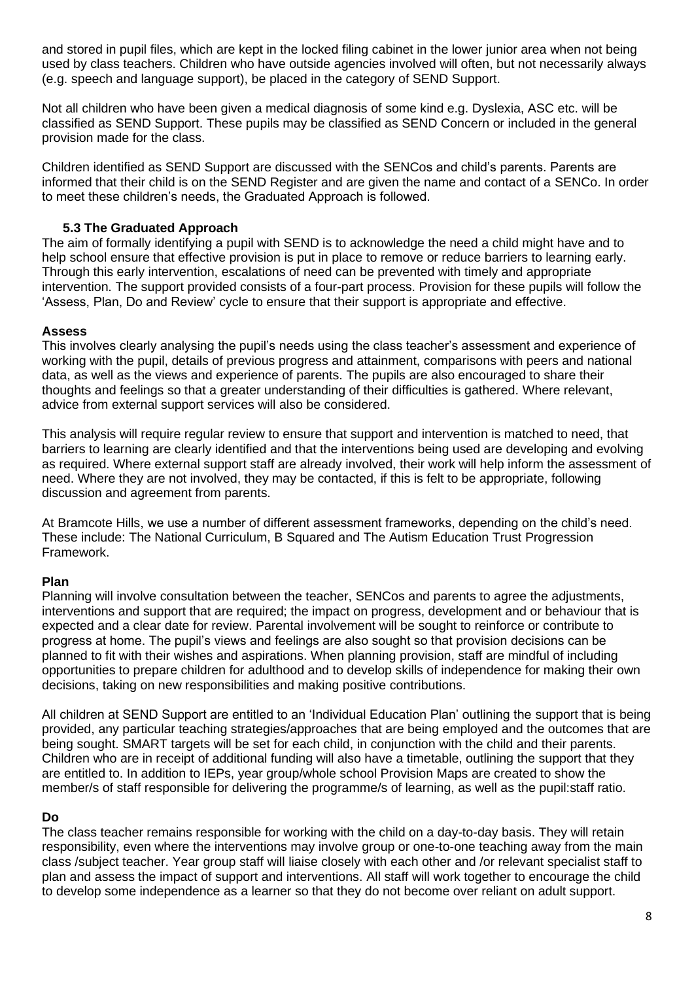and stored in pupil files, which are kept in the locked filing cabinet in the lower junior area when not being used by class teachers. Children who have outside agencies involved will often, but not necessarily always (e.g. speech and language support), be placed in the category of SEND Support.

Not all children who have been given a medical diagnosis of some kind e.g. Dyslexia, ASC etc. will be classified as SEND Support. These pupils may be classified as SEND Concern or included in the general provision made for the class.

Children identified as SEND Support are discussed with the SENCos and child's parents. Parents are informed that their child is on the SEND Register and are given the name and contact of a SENCo. In order to meet these children's needs, the Graduated Approach is followed.

#### **5.3 The Graduated Approach**

The aim of formally identifying a pupil with SEND is to acknowledge the need a child might have and to help school ensure that effective provision is put in place to remove or reduce barriers to learning early. Through this early intervention, escalations of need can be prevented with timely and appropriate intervention. The support provided consists of a four-part process. Provision for these pupils will follow the 'Assess, Plan, Do and Review' cycle to ensure that their support is appropriate and effective.

#### **Assess**

This involves clearly analysing the pupil's needs using the class teacher's assessment and experience of working with the pupil, details of previous progress and attainment, comparisons with peers and national data, as well as the views and experience of parents. The pupils are also encouraged to share their thoughts and feelings so that a greater understanding of their difficulties is gathered. Where relevant, advice from external support services will also be considered.

This analysis will require regular review to ensure that support and intervention is matched to need, that barriers to learning are clearly identified and that the interventions being used are developing and evolving as required. Where external support staff are already involved, their work will help inform the assessment of need. Where they are not involved, they may be contacted, if this is felt to be appropriate, following discussion and agreement from parents.

At Bramcote Hills, we use a number of different assessment frameworks, depending on the child's need. These include: The National Curriculum, B Squared and The Autism Education Trust Progression Framework.

#### **Plan**

Planning will involve consultation between the teacher, SENCos and parents to agree the adjustments, interventions and support that are required; the impact on progress, development and or behaviour that is expected and a clear date for review. Parental involvement will be sought to reinforce or contribute to progress at home. The pupil's views and feelings are also sought so that provision decisions can be planned to fit with their wishes and aspirations. When planning provision, staff are mindful of including opportunities to prepare children for adulthood and to develop skills of independence for making their own decisions, taking on new responsibilities and making positive contributions.

All children at SEND Support are entitled to an 'Individual Education Plan' outlining the support that is being provided, any particular teaching strategies/approaches that are being employed and the outcomes that are being sought. SMART targets will be set for each child, in conjunction with the child and their parents. Children who are in receipt of additional funding will also have a timetable, outlining the support that they are entitled to. In addition to IEPs, year group/whole school Provision Maps are created to show the member/s of staff responsible for delivering the programme/s of learning, as well as the pupil:staff ratio.

#### **Do**

The class teacher remains responsible for working with the child on a day-to-day basis. They will retain responsibility, even where the interventions may involve group or one-to-one teaching away from the main class /subject teacher. Year group staff will liaise closely with each other and /or relevant specialist staff to plan and assess the impact of support and interventions. All staff will work together to encourage the child to develop some independence as a learner so that they do not become over reliant on adult support.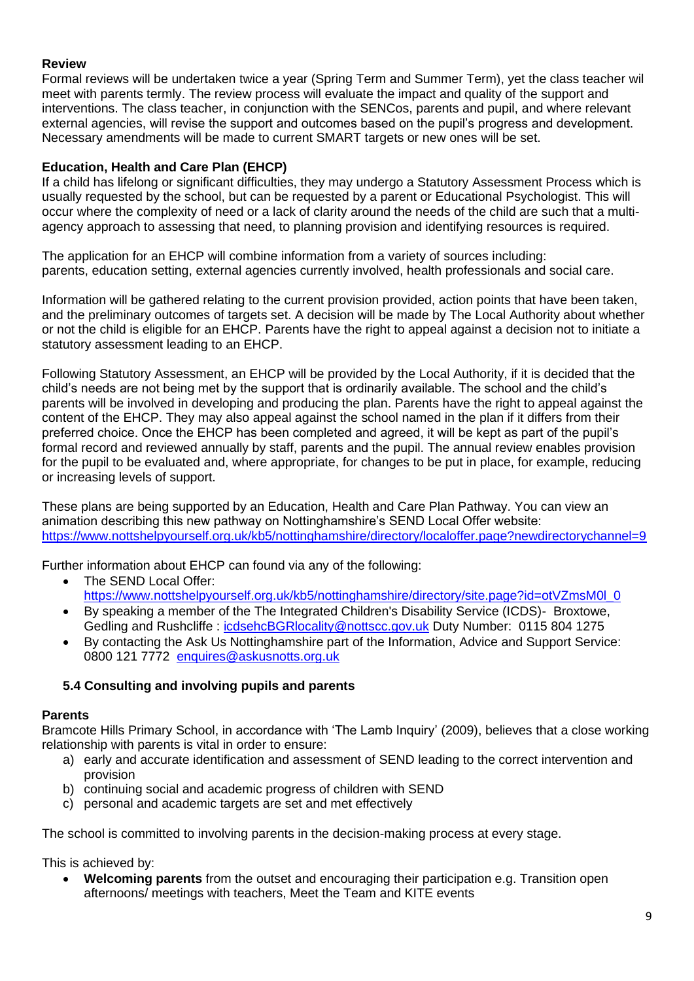## **Review**

Formal reviews will be undertaken twice a year (Spring Term and Summer Term), yet the class teacher wil meet with parents termly. The review process will evaluate the impact and quality of the support and interventions. The class teacher, in conjunction with the SENCos, parents and pupil, and where relevant external agencies, will revise the support and outcomes based on the pupil's progress and development. Necessary amendments will be made to current SMART targets or new ones will be set.

## **Education, Health and Care Plan (EHCP)**

If a child has lifelong or significant difficulties, they may undergo a Statutory Assessment Process which is usually requested by the school, but can be requested by a parent or Educational Psychologist. This will occur where the complexity of need or a lack of clarity around the needs of the child are such that a multiagency approach to assessing that need, to planning provision and identifying resources is required.

The application for an EHCP will combine information from a variety of sources including: parents, education setting, external agencies currently involved, health professionals and social care.

Information will be gathered relating to the current provision provided, action points that have been taken, and the preliminary outcomes of targets set. A decision will be made by The Local Authority about whether or not the child is eligible for an EHCP. Parents have the right to appeal against a decision not to initiate a statutory assessment leading to an EHCP.

Following Statutory Assessment, an EHCP will be provided by the Local Authority, if it is decided that the child's needs are not being met by the support that is ordinarily available. The school and the child's parents will be involved in developing and producing the plan. Parents have the right to appeal against the content of the EHCP. They may also appeal against the school named in the plan if it differs from their preferred choice. Once the EHCP has been completed and agreed, it will be kept as part of the pupil's formal record and reviewed annually by staff, parents and the pupil. The annual review enables provision for the pupil to be evaluated and, where appropriate, for changes to be put in place, for example, reducing or increasing levels of support.

These plans are being supported by an Education, Health and Care Plan Pathway. You can view an animation describing this new pathway on Nottinghamshire's SEND Local Offer website: <https://www.nottshelpyourself.org.uk/kb5/nottinghamshire/directory/localoffer.page?newdirectorychannel=9>

Further information about EHCP can found via any of the following:

- The SEND Local Offer: [https://www.nottshelpyourself.org.uk/kb5/nottinghamshire/directory/site.page?id=otVZmsM0l\\_0](https://www.nottshelpyourself.org.uk/kb5/nottinghamshire/directory/site.page?id=otVZmsM0l_0)\_
- By speaking a member of the The Integrated Children's Disability Service (ICDS)- Broxtowe, Gedling and Rushcliffe : [icdsehcBGRlocality@nottscc.gov.uk](mailto:icdsehcBGRlocality@nottscc.gov.uk) Duty Number: 0115 804 1275
- By contacting the Ask Us Nottinghamshire part of the Information, Advice and Support Service: 0800 121 7772 [enquires@askusnotts.org.uk](mailto:enquires@askusnotts.org.uk)

## **5.4 Consulting and involving pupils and parents**

## **Parents**

Bramcote Hills Primary School, in accordance with 'The Lamb Inquiry' (2009), believes that a close working relationship with parents is vital in order to ensure:

- a) early and accurate identification and assessment of SEND leading to the correct intervention and provision
- b) continuing social and academic progress of children with SEND
- c) personal and academic targets are set and met effectively

The school is committed to involving parents in the decision-making process at every stage.

This is achieved by:

• **Welcoming parents** from the outset and encouraging their participation e.g. Transition open afternoons/ meetings with teachers, Meet the Team and KITE events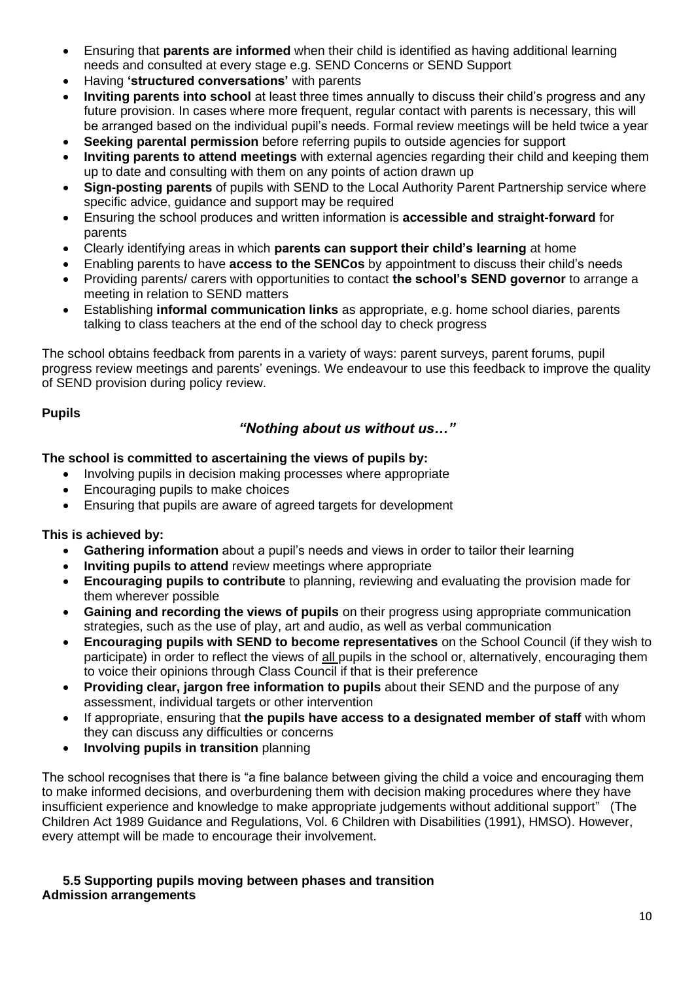- Ensuring that **parents are informed** when their child is identified as having additional learning needs and consulted at every stage e.g. SEND Concerns or SEND Support
- Having **'structured conversations'** with parents
- **Inviting parents into school** at least three times annually to discuss their child's progress and any future provision. In cases where more frequent, regular contact with parents is necessary, this will be arranged based on the individual pupil's needs. Formal review meetings will be held twice a year
- **Seeking parental permission** before referring pupils to outside agencies for support
- **Inviting parents to attend meetings** with external agencies regarding their child and keeping them up to date and consulting with them on any points of action drawn up
- **Sign-posting parents** of pupils with SEND to the Local Authority Parent Partnership service where specific advice, quidance and support may be required
- Ensuring the school produces and written information is **accessible and straight-forward** for parents
- Clearly identifying areas in which **parents can support their child's learning** at home
- Enabling parents to have **access to the SENCos** by appointment to discuss their child's needs
- Providing parents/ carers with opportunities to contact **the school's SEND governor** to arrange a meeting in relation to SEND matters
- Establishing **informal communication links** as appropriate, e.g. home school diaries, parents talking to class teachers at the end of the school day to check progress

The school obtains feedback from parents in a variety of ways: parent surveys, parent forums, pupil progress review meetings and parents' evenings. We endeavour to use this feedback to improve the quality of SEND provision during policy review.

## **Pupils**

# *"Nothing about us without us…"*

## **The school is committed to ascertaining the views of pupils by:**

- Involving pupils in decision making processes where appropriate
- Encouraging pupils to make choices
- Ensuring that pupils are aware of agreed targets for development

## **This is achieved by:**

- **Gathering information** about a pupil's needs and views in order to tailor their learning
- **Inviting pupils to attend** review meetings where appropriate
- **Encouraging pupils to contribute** to planning, reviewing and evaluating the provision made for them wherever possible
- **Gaining and recording the views of pupils** on their progress using appropriate communication strategies, such as the use of play, art and audio, as well as verbal communication
- **Encouraging pupils with SEND to become representatives** on the School Council (if they wish to participate) in order to reflect the views of all pupils in the school or, alternatively, encouraging them to voice their opinions through Class Council if that is their preference
- **Providing clear, jargon free information to pupils** about their SEND and the purpose of any assessment, individual targets or other intervention
- If appropriate, ensuring that **the pupils have access to a designated member of staff** with whom they can discuss any difficulties or concerns
- **Involving pupils in transition** planning

The school recognises that there is "a fine balance between giving the child a voice and encouraging them to make informed decisions, and overburdening them with decision making procedures where they have insufficient experience and knowledge to make appropriate judgements without additional support" (The Children Act 1989 Guidance and Regulations, Vol. 6 Children with Disabilities (1991), HMSO). However, every attempt will be made to encourage their involvement.

#### **5.5 Supporting pupils moving between phases and transition Admission arrangements**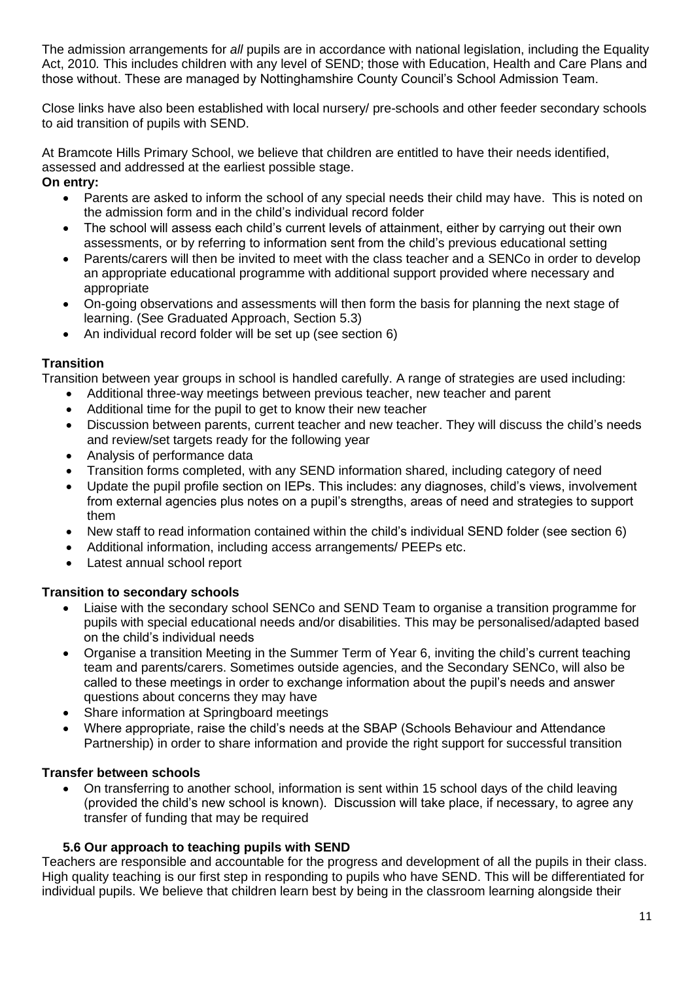The admission arrangements for *all* pupils are in accordance with national legislation, including the Equality Act, 2010*.* This includes children with any level of SEND; those with Education, Health and Care Plans and those without. These are managed by Nottinghamshire County Council's School Admission Team.

Close links have also been established with local nursery/ pre-schools and other feeder secondary schools to aid transition of pupils with SEND.

At Bramcote Hills Primary School, we believe that children are entitled to have their needs identified, assessed and addressed at the earliest possible stage. **On entry:** 

- Parents are asked to inform the school of any special needs their child may have. This is noted on the admission form and in the child's individual record folder
- The school will assess each child's current levels of attainment, either by carrying out their own assessments, or by referring to information sent from the child's previous educational setting
- Parents/carers will then be invited to meet with the class teacher and a SENCo in order to develop an appropriate educational programme with additional support provided where necessary and appropriate
- On-going observations and assessments will then form the basis for planning the next stage of learning. (See Graduated Approach, Section 5.3)
- An individual record folder will be set up (see section 6)

## **Transition**

Transition between year groups in school is handled carefully. A range of strategies are used including:

- Additional three-way meetings between previous teacher, new teacher and parent
- Additional time for the pupil to get to know their new teacher
- Discussion between parents, current teacher and new teacher. They will discuss the child's needs and review/set targets ready for the following year
- Analysis of performance data
- Transition forms completed, with any SEND information shared, including category of need
- Update the pupil profile section on IEPs. This includes: any diagnoses, child's views, involvement from external agencies plus notes on a pupil's strengths, areas of need and strategies to support them
- New staff to read information contained within the child's individual SEND folder (see section 6)
- Additional information, including access arrangements/ PEEPs etc.
- Latest annual school report

#### **Transition to secondary schools**

- Liaise with the secondary school SENCo and SEND Team to organise a transition programme for pupils with special educational needs and/or disabilities. This may be personalised/adapted based on the child's individual needs
- Organise a transition Meeting in the Summer Term of Year 6, inviting the child's current teaching team and parents/carers. Sometimes outside agencies, and the Secondary SENCo, will also be called to these meetings in order to exchange information about the pupil's needs and answer questions about concerns they may have
- Share information at Springboard meetings
- Where appropriate, raise the child's needs at the SBAP (Schools Behaviour and Attendance Partnership) in order to share information and provide the right support for successful transition

## **Transfer between schools**

• On transferring to another school, information is sent within 15 school days of the child leaving (provided the child's new school is known). Discussion will take place, if necessary, to agree any transfer of funding that may be required

## **5.6 Our approach to teaching pupils with SEND**

Teachers are responsible and accountable for the progress and development of all the pupils in their class. High quality teaching is our first step in responding to pupils who have SEND. This will be differentiated for individual pupils. We believe that children learn best by being in the classroom learning alongside their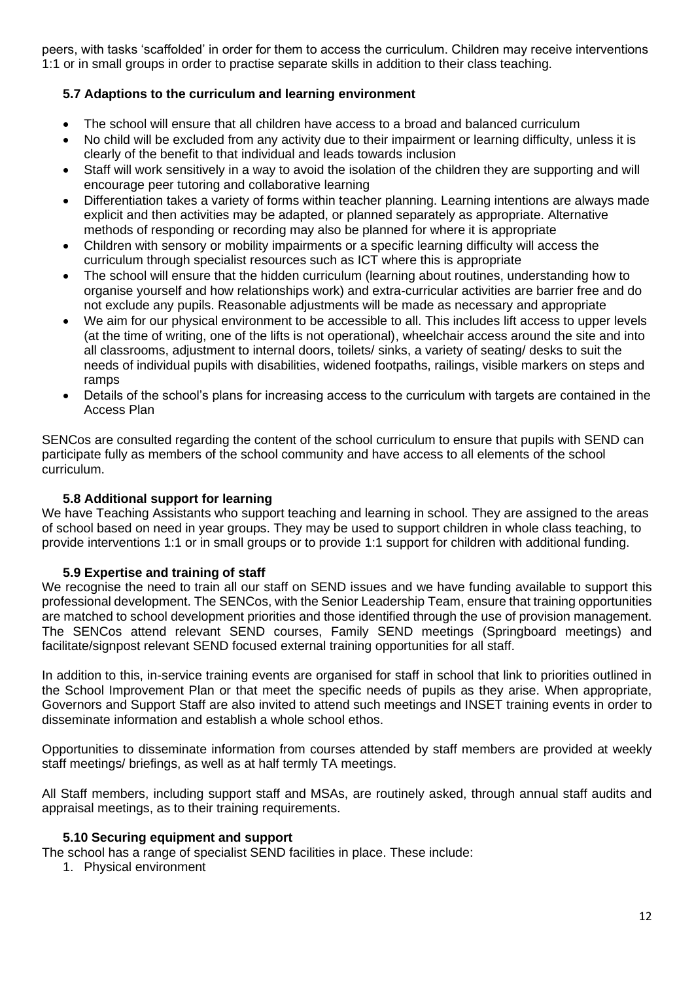peers, with tasks 'scaffolded' in order for them to access the curriculum. Children may receive interventions 1:1 or in small groups in order to practise separate skills in addition to their class teaching.

## **5.7 Adaptions to the curriculum and learning environment**

- The school will ensure that all children have access to a broad and balanced curriculum
- No child will be excluded from any activity due to their impairment or learning difficulty, unless it is clearly of the benefit to that individual and leads towards inclusion
- Staff will work sensitively in a way to avoid the isolation of the children they are supporting and will encourage peer tutoring and collaborative learning
- Differentiation takes a variety of forms within teacher planning. Learning intentions are always made explicit and then activities may be adapted, or planned separately as appropriate. Alternative methods of responding or recording may also be planned for where it is appropriate
- Children with sensory or mobility impairments or a specific learning difficulty will access the curriculum through specialist resources such as ICT where this is appropriate
- The school will ensure that the hidden curriculum (learning about routines, understanding how to organise yourself and how relationships work) and extra-curricular activities are barrier free and do not exclude any pupils. Reasonable adjustments will be made as necessary and appropriate
- We aim for our physical environment to be accessible to all. This includes lift access to upper levels (at the time of writing, one of the lifts is not operational), wheelchair access around the site and into all classrooms, adjustment to internal doors, toilets/ sinks, a variety of seating/ desks to suit the needs of individual pupils with disabilities, widened footpaths, railings, visible markers on steps and ramps
- Details of the school's plans for increasing access to the curriculum with targets are contained in the Access Plan

SENCos are consulted regarding the content of the school curriculum to ensure that pupils with SEND can participate fully as members of the school community and have access to all elements of the school curriculum.

## **5.8 Additional support for learning**

We have Teaching Assistants who support teaching and learning in school. They are assigned to the areas of school based on need in year groups. They may be used to support children in whole class teaching, to provide interventions 1:1 or in small groups or to provide 1:1 support for children with additional funding.

#### **5.9 Expertise and training of staff**

We recognise the need to train all our staff on SEND issues and we have funding available to support this professional development. The SENCos, with the Senior Leadership Team, ensure that training opportunities are matched to school development priorities and those identified through the use of provision management. The SENCos attend relevant SEND courses, Family SEND meetings (Springboard meetings) and facilitate/signpost relevant SEND focused external training opportunities for all staff.

In addition to this, in-service training events are organised for staff in school that link to priorities outlined in the School Improvement Plan or that meet the specific needs of pupils as they arise. When appropriate, Governors and Support Staff are also invited to attend such meetings and INSET training events in order to disseminate information and establish a whole school ethos.

Opportunities to disseminate information from courses attended by staff members are provided at weekly staff meetings/ briefings, as well as at half termly TA meetings.

All Staff members, including support staff and MSAs, are routinely asked, through annual staff audits and appraisal meetings, as to their training requirements.

#### **5.10 Securing equipment and support**

The school has a range of specialist SEND facilities in place. These include:

1. Physical environment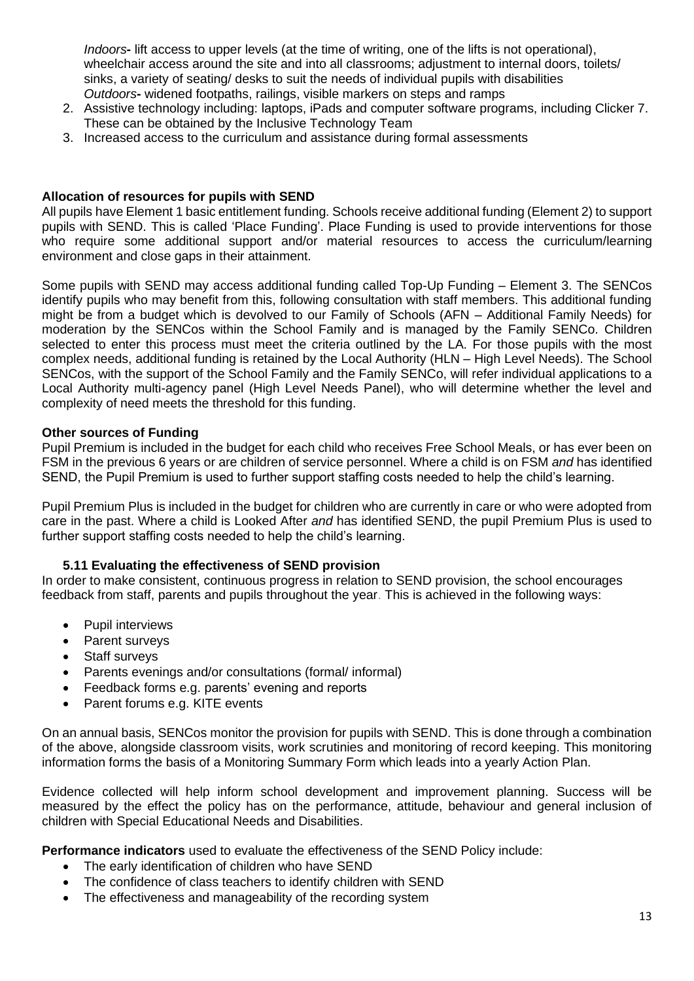*Indoors***-** lift access to upper levels (at the time of writing, one of the lifts is not operational), wheelchair access around the site and into all classrooms; adjustment to internal doors, toilets/ sinks, a variety of seating/ desks to suit the needs of individual pupils with disabilities *Outdoors***-** widened footpaths, railings, visible markers on steps and ramps

- 2. Assistive technology including: laptops, iPads and computer software programs, including Clicker 7. These can be obtained by the Inclusive Technology Team
- 3. Increased access to the curriculum and assistance during formal assessments

#### **Allocation of resources for pupils with SEND**

All pupils have Element 1 basic entitlement funding. Schools receive additional funding (Element 2) to support pupils with SEND. This is called 'Place Funding'. Place Funding is used to provide interventions for those who require some additional support and/or material resources to access the curriculum/learning environment and close gaps in their attainment.

Some pupils with SEND may access additional funding called Top-Up Funding – Element 3. The SENCos identify pupils who may benefit from this, following consultation with staff members. This additional funding might be from a budget which is devolved to our Family of Schools (AFN – Additional Family Needs) for moderation by the SENCos within the School Family and is managed by the Family SENCo. Children selected to enter this process must meet the criteria outlined by the LA. For those pupils with the most complex needs, additional funding is retained by the Local Authority (HLN – High Level Needs). The School SENCos, with the support of the School Family and the Family SENCo, will refer individual applications to a Local Authority multi-agency panel (High Level Needs Panel), who will determine whether the level and complexity of need meets the threshold for this funding.

#### **Other sources of Funding**

Pupil Premium is included in the budget for each child who receives Free School Meals, or has ever been on FSM in the previous 6 years or are children of service personnel. Where a child is on FSM *and* has identified SEND, the Pupil Premium is used to further support staffing costs needed to help the child's learning.

Pupil Premium Plus is included in the budget for children who are currently in care or who were adopted from care in the past. Where a child is Looked After *and* has identified SEND, the pupil Premium Plus is used to further support staffing costs needed to help the child's learning.

#### **5.11 Evaluating the effectiveness of SEND provision**

In order to make consistent, continuous progress in relation to SEND provision, the school encourages feedback from staff, parents and pupils throughout the year. This is achieved in the following ways:

- Pupil interviews
- Parent surveys
- **Staff surveys**
- Parents evenings and/or consultations (formal/ informal)
- Feedback forms e.g. parents' evening and reports
- Parent forums e.g. KITE events

On an annual basis, SENCos monitor the provision for pupils with SEND. This is done through a combination of the above, alongside classroom visits, work scrutinies and monitoring of record keeping. This monitoring information forms the basis of a Monitoring Summary Form which leads into a yearly Action Plan.

Evidence collected will help inform school development and improvement planning. Success will be measured by the effect the policy has on the performance, attitude, behaviour and general inclusion of children with Special Educational Needs and Disabilities.

**Performance indicators** used to evaluate the effectiveness of the SEND Policy include:

- The early identification of children who have SEND
- The confidence of class teachers to identify children with SEND
- The effectiveness and manageability of the recording system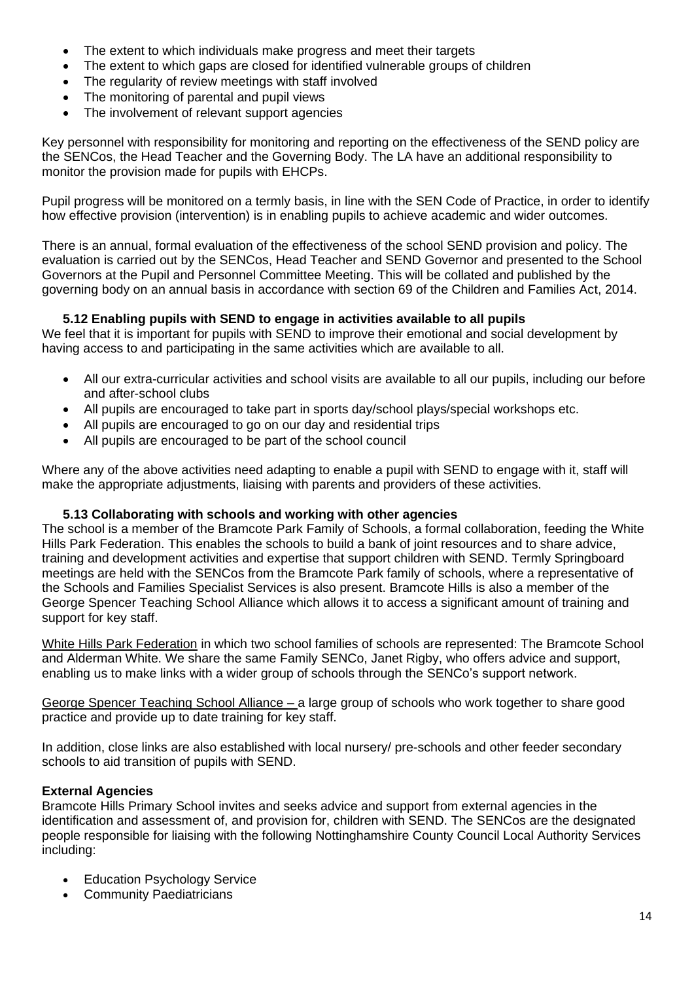- The extent to which individuals make progress and meet their targets
- The extent to which gaps are closed for identified vulnerable groups of children
- The regularity of review meetings with staff involved
- The monitoring of parental and pupil views
- The involvement of relevant support agencies

Key personnel with responsibility for monitoring and reporting on the effectiveness of the SEND policy are the SENCos, the Head Teacher and the Governing Body. The LA have an additional responsibility to monitor the provision made for pupils with EHCPs.

Pupil progress will be monitored on a termly basis, in line with the SEN Code of Practice, in order to identify how effective provision (intervention) is in enabling pupils to achieve academic and wider outcomes.

There is an annual, formal evaluation of the effectiveness of the school SEND provision and policy. The evaluation is carried out by the SENCos, Head Teacher and SEND Governor and presented to the School Governors at the Pupil and Personnel Committee Meeting. This will be collated and published by the governing body on an annual basis in accordance with section 69 of the Children and Families Act, 2014.

#### **5.12 Enabling pupils with SEND to engage in activities available to all pupils**

We feel that it is important for pupils with SEND to improve their emotional and social development by having access to and participating in the same activities which are available to all.

- All our extra-curricular activities and school visits are available to all our pupils, including our before and after-school clubs
- All pupils are encouraged to take part in sports day/school plays/special workshops etc.
- All pupils are encouraged to go on our day and residential trips
- All pupils are encouraged to be part of the school council

Where any of the above activities need adapting to enable a pupil with SEND to engage with it, staff will make the appropriate adjustments, liaising with parents and providers of these activities.

#### **5.13 Collaborating with schools and working with other agencies**

The school is a member of the Bramcote Park Family of Schools, a formal collaboration, feeding the White Hills Park Federation. This enables the schools to build a bank of joint resources and to share advice, training and development activities and expertise that support children with SEND. Termly Springboard meetings are held with the SENCos from the Bramcote Park family of schools, where a representative of the Schools and Families Specialist Services is also present. Bramcote Hills is also a member of the George Spencer Teaching School Alliance which allows it to access a significant amount of training and support for key staff.

White Hills Park Federation in which two school families of schools are represented: The Bramcote School and Alderman White. We share the same Family SENCo, Janet Rigby, who offers advice and support, enabling us to make links with a wider group of schools through the SENCo's support network.

George Spencer Teaching School Alliance – a large group of schools who work together to share good practice and provide up to date training for key staff.

In addition, close links are also established with local nursery/ pre-schools and other feeder secondary schools to aid transition of pupils with SEND.

#### **External Agencies**

Bramcote Hills Primary School invites and seeks advice and support from external agencies in the identification and assessment of, and provision for, children with SEND. The SENCos are the designated people responsible for liaising with the following Nottinghamshire County Council Local Authority Services including:

- **Education Psychology Service**
- **Community Paediatricians**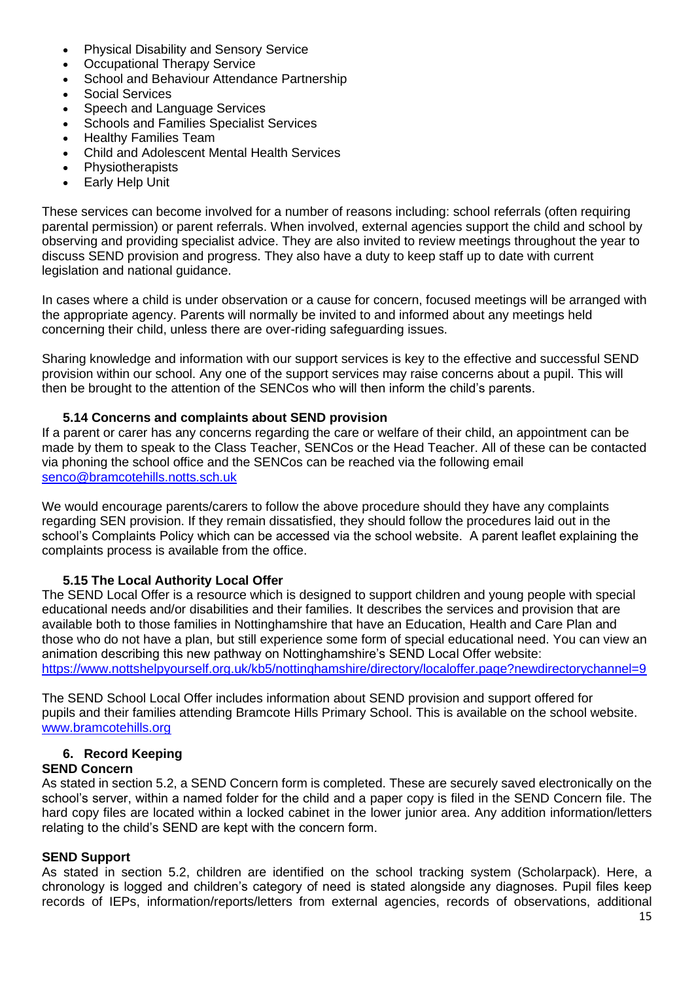- Physical Disability and Sensory Service
- Occupational Therapy Service
- School and Behaviour Attendance Partnership
- Social Services
- Speech and Language Services
- Schools and Families Specialist Services
- Healthy Families Team
- Child and Adolescent Mental Health Services
- Physiotherapists
- **Early Help Unit**

These services can become involved for a number of reasons including: school referrals (often requiring parental permission) or parent referrals. When involved, external agencies support the child and school by observing and providing specialist advice. They are also invited to review meetings throughout the year to discuss SEND provision and progress. They also have a duty to keep staff up to date with current legislation and national guidance.

In cases where a child is under observation or a cause for concern, focused meetings will be arranged with the appropriate agency. Parents will normally be invited to and informed about any meetings held concerning their child, unless there are over-riding safeguarding issues.

Sharing knowledge and information with our support services is key to the effective and successful SEND provision within our school. Any one of the support services may raise concerns about a pupil. This will then be brought to the attention of the SENCos who will then inform the child's parents.

#### **5.14 Concerns and complaints about SEND provision**

If a parent or carer has any concerns regarding the care or welfare of their child, an appointment can be made by them to speak to the Class Teacher, SENCos or the Head Teacher. All of these can be contacted via phoning the school office and the SENCos can be reached via the following email [senco@bramcotehills.notts.sch.uk](mailto:senco@bramcotehills.notts.sch.uk) 

We would encourage parents/carers to follow the above procedure should they have any complaints regarding SEN provision. If they remain dissatisfied, they should follow the procedures laid out in the school's Complaints Policy which can be accessed via the school website. A parent leaflet explaining the complaints process is available from the office.

## **5.15 The Local Authority Local Offer**

The SEND Local Offer is a resource which is designed to support children and young people with special educational needs and/or disabilities and their families. It describes the services and provision that are available both to those families in Nottinghamshire that have an Education, Health and Care Plan and those who do not have a plan, but still experience some form of special educational need. You can view an animation describing this new pathway on Nottinghamshire's SEND Local Offer website: <https://www.nottshelpyourself.org.uk/kb5/nottinghamshire/directory/localoffer.page?newdirectorychannel=9>

The SEND School Local Offer includes information about SEND provision and support offered for pupils and their families attending Bramcote Hills Primary School. This is available on the school website. [www.bramcotehills.org](http://www.bramcotehills.org/)

## **6. Record Keeping**

#### **SEND Concern**

As stated in section 5.2, a SEND Concern form is completed. These are securely saved electronically on the school's server, within a named folder for the child and a paper copy is filed in the SEND Concern file. The hard copy files are located within a locked cabinet in the lower junior area. Any addition information/letters relating to the child's SEND are kept with the concern form.

#### **SEND Support**

As stated in section 5.2, children are identified on the school tracking system (Scholarpack). Here, a chronology is logged and children's category of need is stated alongside any diagnoses. Pupil files keep records of IEPs, information/reports/letters from external agencies, records of observations, additional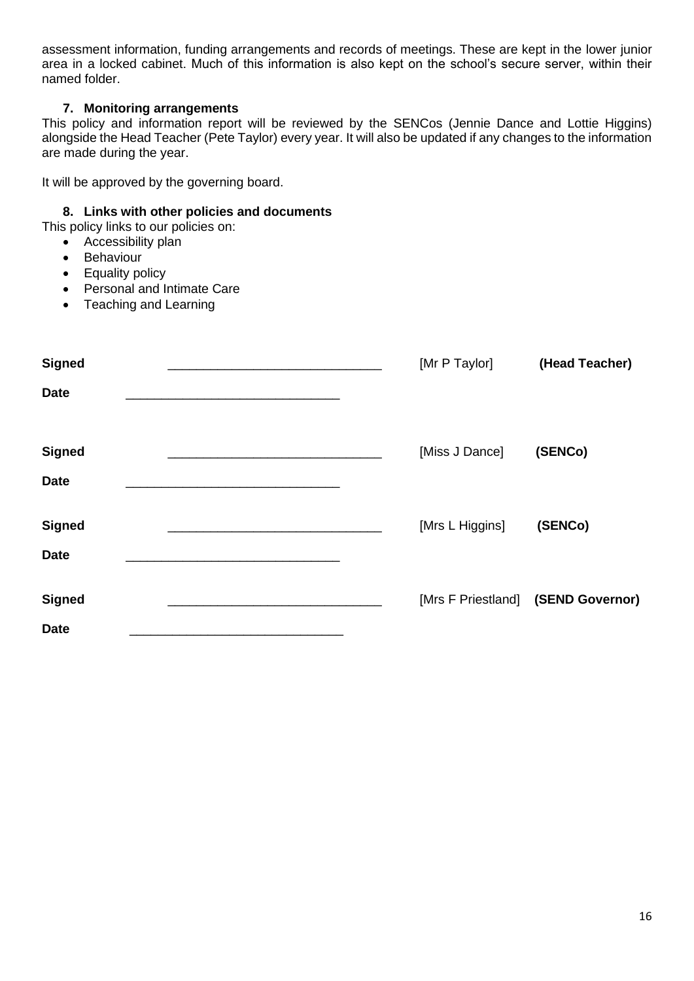assessment information, funding arrangements and records of meetings. These are kept in the lower junior area in a locked cabinet. Much of this information is also kept on the school's secure server, within their named folder.

## **7. Monitoring arrangements**

This policy and information report will be reviewed by the SENCos (Jennie Dance and Lottie Higgins) alongside the Head Teacher (Pete Taylor) every year. It will also be updated if any changes to the information are made during the year.

It will be approved by the governing board.

#### **8. Links with other policies and documents**

This policy links to our policies on:

- Accessibility plan
- Behaviour
- Equality policy
- Personal and Intimate Care
- Teaching and Learning

| <b>Signed</b> |  | [Mr P Taylor]                      | (Head Teacher) |
|---------------|--|------------------------------------|----------------|
| <b>Date</b>   |  |                                    |                |
|               |  |                                    |                |
| <b>Signed</b> |  | [Miss J Dance]                     | (SENCo)        |
| <b>Date</b>   |  |                                    |                |
| <b>Signed</b> |  | [Mrs L Higgins]                    | (SENCo)        |
| <b>Date</b>   |  |                                    |                |
| <b>Signed</b> |  | [Mrs F Priestland] (SEND Governor) |                |
| <b>Date</b>   |  |                                    |                |